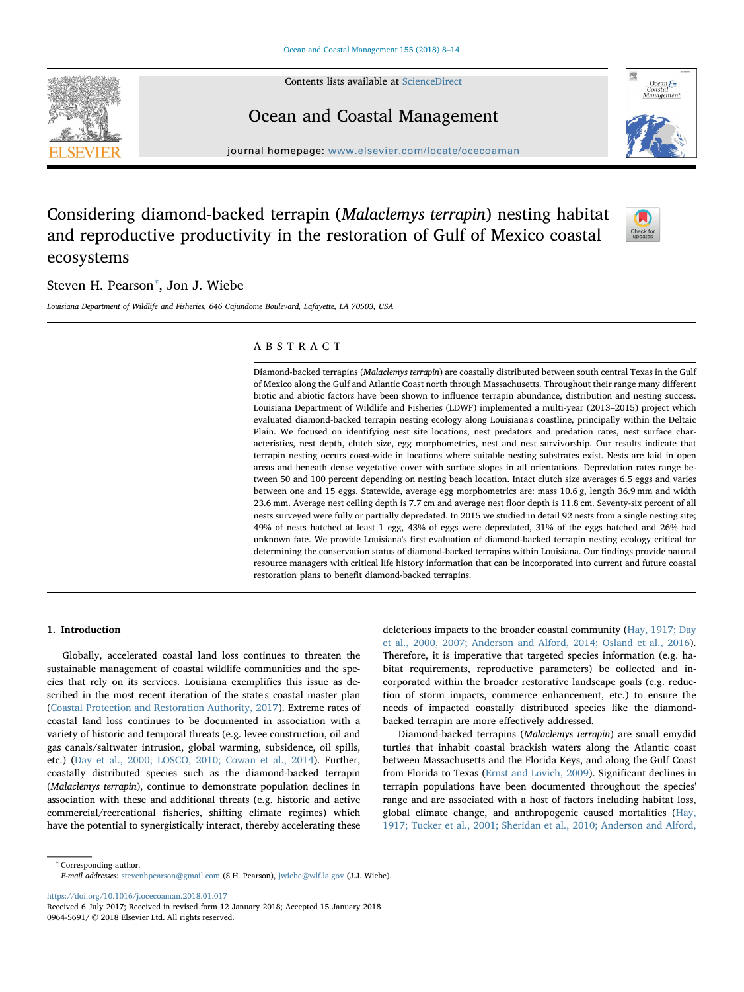Contents lists available at [ScienceDirect](http://www.sciencedirect.com/science/journal/09645691)





Check for<br>updates

# Ocean and Coastal Management

journal homepage: [www.elsevier.com/locate/ocecoaman](https://www.elsevier.com/locate/ocecoaman)

# Considering diamond-backed terrapin (Malaclemys terrapin) nesting habitat and reproductive productivity in the restoration of Gulf of Mexico coastal ecosystems

## Steven H. Pearson[∗](#page-0-0) , Jon J. Wiebe

Louisiana Department of Wildlife and Fisheries, 646 Cajundome Boulevard, Lafayette, LA 70503, USA

### ABSTRACT

Diamond-backed terrapins (Malaclemys terrapin) are coastally distributed between south central Texas in the Gulf of Mexico along the Gulf and Atlantic Coast north through Massachusetts. Throughout their range many different biotic and abiotic factors have been shown to influence terrapin abundance, distribution and nesting success. Louisiana Department of Wildlife and Fisheries (LDWF) implemented a multi-year (2013–2015) project which evaluated diamond-backed terrapin nesting ecology along Louisiana's coastline, principally within the Deltaic Plain. We focused on identifying nest site locations, nest predators and predation rates, nest surface characteristics, nest depth, clutch size, egg morphometrics, nest and nest survivorship. Our results indicate that terrapin nesting occurs coast-wide in locations where suitable nesting substrates exist. Nests are laid in open areas and beneath dense vegetative cover with surface slopes in all orientations. Depredation rates range between 50 and 100 percent depending on nesting beach location. Intact clutch size averages 6.5 eggs and varies between one and 15 eggs. Statewide, average egg morphometrics are: mass 10.6 g, length 36.9 mm and width 23.6 mm. Average nest ceiling depth is 7.7 cm and average nest floor depth is 11.8 cm. Seventy-six percent of all nests surveyed were fully or partially depredated. In 2015 we studied in detail 92 nests from a single nesting site; 49% of nests hatched at least 1 egg, 43% of eggs were depredated, 31% of the eggs hatched and 26% had unknown fate. We provide Louisiana's first evaluation of diamond-backed terrapin nesting ecology critical for determining the conservation status of diamond-backed terrapins within Louisiana. Our findings provide natural resource managers with critical life history information that can be incorporated into current and future coastal restoration plans to benefit diamond-backed terrapins.

### 1. Introduction

Globally, accelerated coastal land loss continues to threaten the sustainable management of coastal wildlife communities and the species that rely on its services. Louisiana exemplifies this issue as described in the most recent iteration of the state's coastal master plan ([Coastal Protection and Restoration Authority, 2017\)](#page-6-0). Extreme rates of coastal land loss continues to be documented in association with a variety of historic and temporal threats (e.g. levee construction, oil and gas canals/saltwater intrusion, global warming, subsidence, oil spills, etc.) ([Day et al., 2000; LOSCO, 2010; Cowan et al., 2014](#page-6-1)). Further, coastally distributed species such as the diamond-backed terrapin (Malaclemys terrapin), continue to demonstrate population declines in association with these and additional threats (e.g. historic and active commercial/recreational fisheries, shifting climate regimes) which have the potential to synergistically interact, thereby accelerating these deleterious impacts to the broader coastal community [\(Hay, 1917; Day](#page-6-2) [et al., 2000, 2007; Anderson and Alford, 2014; Osland et al., 2016](#page-6-2)). Therefore, it is imperative that targeted species information (e.g. habitat requirements, reproductive parameters) be collected and incorporated within the broader restorative landscape goals (e.g. reduction of storm impacts, commerce enhancement, etc.) to ensure the needs of impacted coastally distributed species like the diamondbacked terrapin are more effectively addressed.

Diamond-backed terrapins (Malaclemys terrapin) are small emydid turtles that inhabit coastal brackish waters along the Atlantic coast between Massachusetts and the Florida Keys, and along the Gulf Coast from Florida to Texas ([Ernst and Lovich, 2009\)](#page-6-3). Significant declines in terrapin populations have been documented throughout the species' range and are associated with a host of factors including habitat loss, global climate change, and anthropogenic caused mortalities [\(Hay,](#page-6-2) [1917; Tucker et al., 2001; Sheridan et al., 2010; Anderson and Alford,](#page-6-2)

<span id="page-0-0"></span><sup>∗</sup> Corresponding author. E-mail addresses: [stevenhpearson@gmail.com](mailto:stevenhpearson@gmail.com) (S.H. Pearson), [jwiebe@wlf.la.gov](mailto:jwiebe@wlf.la.gov) (J.J. Wiebe).

<https://doi.org/10.1016/j.ocecoaman.2018.01.017>

Received 6 July 2017; Received in revised form 12 January 2018; Accepted 15 January 2018 0964-5691/ © 2018 Elsevier Ltd. All rights reserved.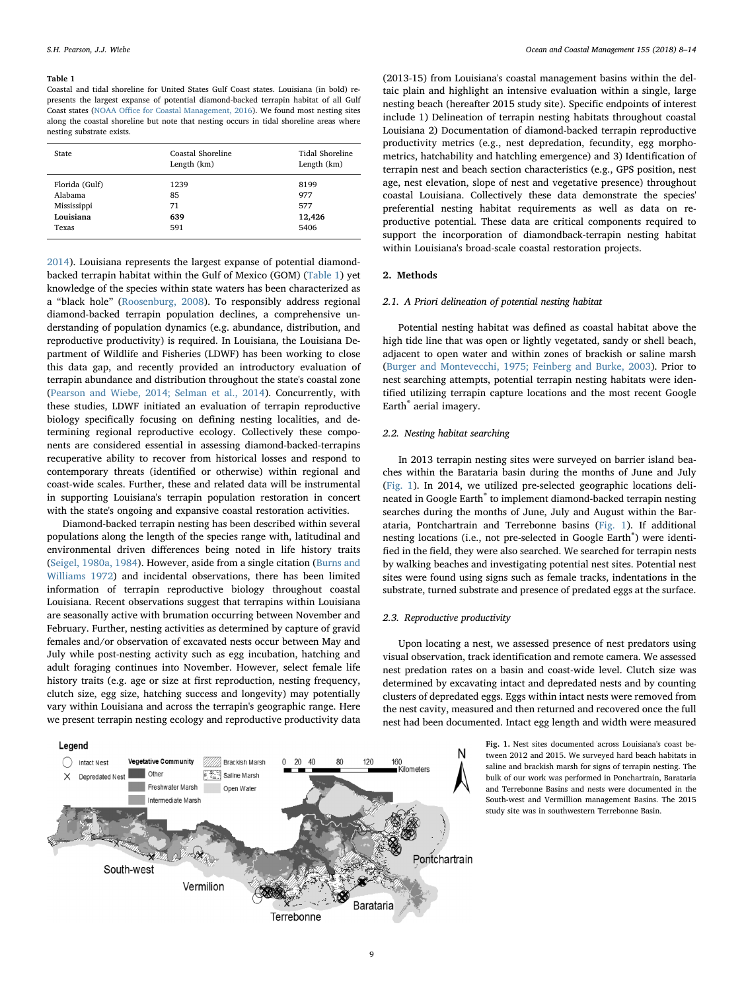#### <span id="page-1-0"></span>Table 1

Coastal and tidal shoreline for United States Gulf Coast states. Louisiana (in bold) represents the largest expanse of potential diamond-backed terrapin habitat of all Gulf Coast states (NOAA Offi[ce for Coastal Management, 2016](#page-6-9)). We found most nesting sites along the coastal shoreline but note that nesting occurs in tidal shoreline areas where nesting substrate exists.

| <b>State</b>   | Coastal Shoreline<br>Length (km) | Tidal Shoreline<br>Length (km) |
|----------------|----------------------------------|--------------------------------|
| Florida (Gulf) | 1239                             | 8199                           |
| Alabama        | 85                               | 977                            |
| Mississippi    | 71                               | 577                            |
| Louisiana      | 639                              | 12,426                         |
| Texas          | 591                              | 5406                           |
|                |                                  |                                |

[2014\)](#page-6-2). Louisiana represents the largest expanse of potential diamondbacked terrapin habitat within the Gulf of Mexico (GOM) [\(Table 1](#page-1-0)) yet knowledge of the species within state waters has been characterized as a "black hole" ([Roosenburg, 2008](#page-6-4)). To responsibly address regional diamond-backed terrapin population declines, a comprehensive understanding of population dynamics (e.g. abundance, distribution, and reproductive productivity) is required. In Louisiana, the Louisiana Department of Wildlife and Fisheries (LDWF) has been working to close this data gap, and recently provided an introductory evaluation of terrapin abundance and distribution throughout the state's coastal zone ([Pearson and Wiebe, 2014; Selman et al., 2014](#page-6-5)). Concurrently, with these studies, LDWF initiated an evaluation of terrapin reproductive biology specifically focusing on defining nesting localities, and determining regional reproductive ecology. Collectively these components are considered essential in assessing diamond-backed-terrapins recuperative ability to recover from historical losses and respond to contemporary threats (identified or otherwise) within regional and coast-wide scales. Further, these and related data will be instrumental in supporting Louisiana's terrapin population restoration in concert with the state's ongoing and expansive coastal restoration activities.

Diamond-backed terrapin nesting has been described within several populations along the length of the species range with, latitudinal and environmental driven differences being noted in life history traits ([Seigel, 1980a, 1984](#page-6-6)). However, aside from a single citation [\(Burns and](#page-6-7) [Williams 1972\)](#page-6-7) and incidental observations, there has been limited information of terrapin reproductive biology throughout coastal Louisiana. Recent observations suggest that terrapins within Louisiana are seasonally active with brumation occurring between November and February. Further, nesting activities as determined by capture of gravid females and/or observation of excavated nests occur between May and July while post-nesting activity such as egg incubation, hatching and adult foraging continues into November. However, select female life history traits (e.g. age or size at first reproduction, nesting frequency, clutch size, egg size, hatching success and longevity) may potentially vary within Louisiana and across the terrapin's geographic range. Here we present terrapin nesting ecology and reproductive productivity data

(2013-15) from Louisiana's coastal management basins within the deltaic plain and highlight an intensive evaluation within a single, large nesting beach (hereafter 2015 study site). Specific endpoints of interest include 1) Delineation of terrapin nesting habitats throughout coastal Louisiana 2) Documentation of diamond-backed terrapin reproductive productivity metrics (e.g., nest depredation, fecundity, egg morphometrics, hatchability and hatchling emergence) and 3) Identification of terrapin nest and beach section characteristics (e.g., GPS position, nest age, nest elevation, slope of nest and vegetative presence) throughout coastal Louisiana. Collectively these data demonstrate the species' preferential nesting habitat requirements as well as data on reproductive potential. These data are critical components required to support the incorporation of diamondback-terrapin nesting habitat within Louisiana's broad-scale coastal restoration projects.

### 2. Methods

### 2.1. A Priori delineation of potential nesting habitat

Potential nesting habitat was defined as coastal habitat above the high tide line that was open or lightly vegetated, sandy or shell beach, adjacent to open water and within zones of brackish or saline marsh ([Burger and Montevecchi, 1975; Feinberg and Burke, 2003](#page-6-8)). Prior to nest searching attempts, potential terrapin nesting habitats were identified utilizing terrapin capture locations and the most recent Google Earth<sup>®</sup> aerial imagery.

### 2.2. Nesting habitat searching

In 2013 terrapin nesting sites were surveyed on barrier island beaches within the Barataria basin during the months of June and July ([Fig. 1\)](#page-1-1). In 2014, we utilized pre-selected geographic locations delineated in Google Earth® to implement diamond-backed terrapin nesting searches during the months of June, July and August within the Barataria, Pontchartrain and Terrebonne basins ([Fig. 1\)](#page-1-1). If additional nesting locations (i.e., not pre-selected in Google Earth®) were identified in the field, they were also searched. We searched for terrapin nests by walking beaches and investigating potential nest sites. Potential nest sites were found using signs such as female tracks, indentations in the substrate, turned substrate and presence of predated eggs at the surface.

### 2.3. Reproductive productivity

Upon locating a nest, we assessed presence of nest predators using visual observation, track identification and remote camera. We assessed nest predation rates on a basin and coast-wide level. Clutch size was determined by excavating intact and depredated nests and by counting clusters of depredated eggs. Eggs within intact nests were removed from the nest cavity, measured and then returned and recovered once the full nest had been documented. Intact egg length and width were measured

<span id="page-1-1"></span>

Fig. 1. Nest sites documented across Louisiana's coast between 2012 and 2015. We surveyed hard beach habitats in saline and brackish marsh for signs of terrapin nesting. The bulk of our work was performed in Ponchartrain, Barataria and Terrebonne Basins and nests were documented in the South-west and Vermillion management Basins. The 2015 study site was in southwestern Terrebonne Basin.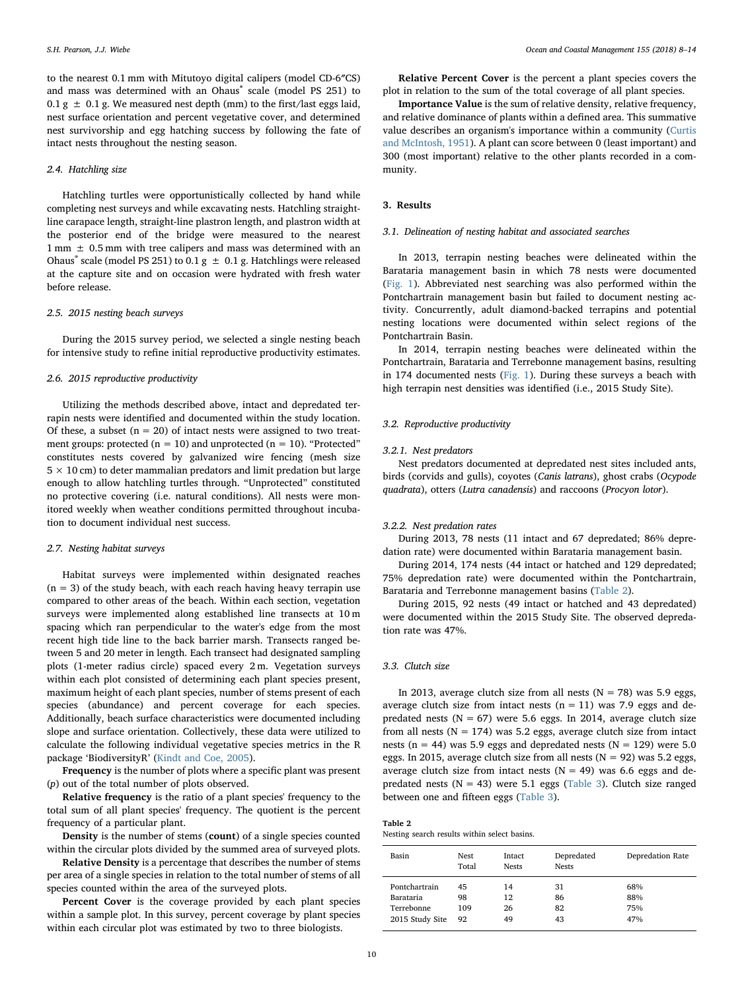to the nearest 0.1 mm with Mitutoyo digital calipers (model CD-6″CS) and mass was determined with an Ohaus<sup>®</sup> scale (model PS 251) to 0.1 g  $\pm$  0.1 g. We measured nest depth (mm) to the first/last eggs laid, nest surface orientation and percent vegetative cover, and determined nest survivorship and egg hatching success by following the fate of intact nests throughout the nesting season.

### 2.4. Hatchling size

Hatchling turtles were opportunistically collected by hand while completing nest surveys and while excavating nests. Hatchling straightline carapace length, straight-line plastron length, and plastron width at the posterior end of the bridge were measured to the nearest  $1$  mm  $\pm$  0.5 mm with tree calipers and mass was determined with an Ohaus<sup>®</sup> scale (model PS 251) to 0.1  $g \pm 0.1 g$ . Hatchlings were released at the capture site and on occasion were hydrated with fresh water before release.

#### 2.5. 2015 nesting beach surveys

During the 2015 survey period, we selected a single nesting beach for intensive study to refine initial reproductive productivity estimates.

### 2.6. 2015 reproductive productivity

Utilizing the methods described above, intact and depredated terrapin nests were identified and documented within the study location. Of these, a subset  $(n = 20)$  of intact nests were assigned to two treatment groups: protected ( $n = 10$ ) and unprotected ( $n = 10$ ). "Protected" constitutes nests covered by galvanized wire fencing (mesh size  $5 \times 10$  cm) to deter mammalian predators and limit predation but large enough to allow hatchling turtles through. "Unprotected" constituted no protective covering (i.e. natural conditions). All nests were monitored weekly when weather conditions permitted throughout incubation to document individual nest success.

### 2.7. Nesting habitat surveys

Habitat surveys were implemented within designated reaches  $(n = 3)$  of the study beach, with each reach having heavy terrapin use compared to other areas of the beach. Within each section, vegetation surveys were implemented along established line transects at 10 m spacing which ran perpendicular to the water's edge from the most recent high tide line to the back barrier marsh. Transects ranged between 5 and 20 meter in length. Each transect had designated sampling plots (1-meter radius circle) spaced every 2 m. Vegetation surveys within each plot consisted of determining each plant species present, maximum height of each plant species, number of stems present of each species (abundance) and percent coverage for each species. Additionally, beach surface characteristics were documented including slope and surface orientation. Collectively, these data were utilized to calculate the following individual vegetative species metrics in the R package 'BiodiversityR' ([Kindt and Coe, 2005\)](#page-6-10).

Frequency is the number of plots where a specific plant was present (p) out of the total number of plots observed.

Relative frequency is the ratio of a plant species' frequency to the total sum of all plant species' frequency. The quotient is the percent frequency of a particular plant.

Density is the number of stems (count) of a single species counted within the circular plots divided by the summed area of surveyed plots.

Relative Density is a percentage that describes the number of stems per area of a single species in relation to the total number of stems of all species counted within the area of the surveyed plots.

Percent Cover is the coverage provided by each plant species within a sample plot. In this survey, percent coverage by plant species within each circular plot was estimated by two to three biologists.

Relative Percent Cover is the percent a plant species covers the plot in relation to the sum of the total coverage of all plant species.

Importance Value is the sum of relative density, relative frequency, and relative dominance of plants within a defined area. This summative value describes an organism's importance within a community ([Curtis](#page-6-11) [and McIntosh, 1951](#page-6-11)). A plant can score between 0 (least important) and 300 (most important) relative to the other plants recorded in a community.

### 3. Results

### 3.1. Delineation of nesting habitat and associated searches

In 2013, terrapin nesting beaches were delineated within the Barataria management basin in which 78 nests were documented ([Fig. 1](#page-1-1)). Abbreviated nest searching was also performed within the Pontchartrain management basin but failed to document nesting activity. Concurrently, adult diamond-backed terrapins and potential nesting locations were documented within select regions of the Pontchartrain Basin.

In 2014, terrapin nesting beaches were delineated within the Pontchartrain, Barataria and Terrebonne management basins, resulting in 174 documented nests [\(Fig. 1](#page-1-1)). During these surveys a beach with high terrapin nest densities was identified (i.e., 2015 Study Site).

### 3.2. Reproductive productivity

### 3.2.1. Nest predators

Nest predators documented at depredated nest sites included ants, birds (corvids and gulls), coyotes (Canis latrans), ghost crabs (Ocypode quadrata), otters (Lutra canadensis) and raccoons (Procyon lotor).

### 3.2.2. Nest predation rates

During 2013, 78 nests (11 intact and 67 depredated; 86% depredation rate) were documented within Barataria management basin.

During 2014, 174 nests (44 intact or hatched and 129 depredated; 75% depredation rate) were documented within the Pontchartrain, Barataria and Terrebonne management basins [\(Table 2\)](#page-2-0).

During 2015, 92 nests (49 intact or hatched and 43 depredated) were documented within the 2015 Study Site. The observed depredation rate was 47%.

### 3.3. Clutch size

In 2013, average clutch size from all nests  $(N = 78)$  was 5.9 eggs, average clutch size from intact nests  $(n = 11)$  was 7.9 eggs and depredated nests ( $N = 67$ ) were 5.6 eggs. In 2014, average clutch size from all nests ( $N = 174$ ) was 5.2 eggs, average clutch size from intact nests ( $n = 44$ ) was 5.9 eggs and depredated nests ( $N = 129$ ) were 5.0 eggs. In 2015, average clutch size from all nests ( $N = 92$ ) was 5.2 eggs, average clutch size from intact nests ( $N = 49$ ) was 6.6 eggs and depredated nests ( $N = 43$ ) were 5.1 eggs [\(Table 3\)](#page-3-0). Clutch size ranged between one and fifteen eggs [\(Table 3](#page-3-0)).

<span id="page-2-0"></span>Table 2 Nesting search results within select basins.

| Basin           | <b>Nest</b><br>Total | Intact<br><b>Nests</b> | Depredated<br><b>Nests</b> | Depredation Rate |
|-----------------|----------------------|------------------------|----------------------------|------------------|
| Pontchartrain   | 45                   | 14                     | 31                         | 68%              |
| Barataria       | 98                   | 12                     | 86                         | 88%              |
| Terrebonne      | 109                  | 26                     | 82                         | 75%              |
| 2015 Study Site | 92                   | 49                     | 43                         | 47%              |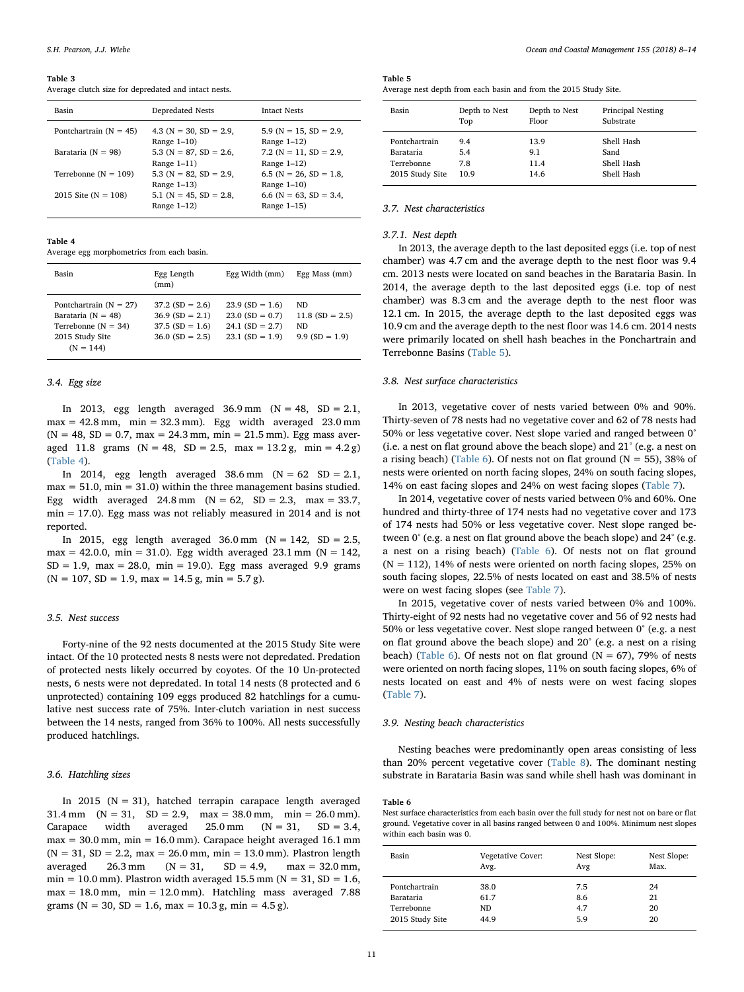#### <span id="page-3-0"></span>Table 3

Average clutch size for depredated and intact nests.

| Basin                    | Depredated Nests                                | <b>Intact Nests</b>                             |
|--------------------------|-------------------------------------------------|-------------------------------------------------|
| Pontchartrain $(N = 45)$ | 4.3 ( $N = 30$ , $SD = 2.9$ )<br>Range $1-10$ ) | $5.9$ (N = 15, SD = 2.9,<br>Range $1-12$ )      |
| Barataria ( $N = 98$ )   | $5.3$ (N = 87, SD = 2.6,<br>Range $1-11$ )      | 7.2 ( $N = 11$ , $SD = 2.9$ ,<br>Range $1-12$ ) |
| Terrebonne $(N = 109)$   | $5.3$ (N = 82, SD = 2.9,<br>Range $1-13$ )      | $6.5$ (N = 26, SD = 1.8,<br>Range $1-10$ )      |
| 2015 Site $(N = 108)$    | $5.1$ (N = 45, SD = 2.8,<br>Range $1-12$ )      | 6.6 ( $N = 63$ , $SD = 3.4$ ,<br>Range $1-15$ ) |
|                          |                                                 |                                                 |

#### <span id="page-3-1"></span>Table 4

Average egg morphometrics from each basin.

| Basin                                                                                                           | Egg Length<br>(mm)                                                               | Egg Width (mm)                                                                   | Egg Mass (mm)                                      |
|-----------------------------------------------------------------------------------------------------------------|----------------------------------------------------------------------------------|----------------------------------------------------------------------------------|----------------------------------------------------|
| Pontchartrain $(N = 27)$<br>Barataria ( $N = 48$ )<br>Terrebonne ( $N = 34$ )<br>2015 Study Site<br>$(N = 144)$ | $37.2$ (SD = 2.6)<br>$36.9$ (SD = 2.1)<br>$37.5$ (SD = 1.6)<br>$36.0$ (SD = 2.5) | $23.9$ (SD = 1.6)<br>$23.0$ (SD = 0.7)<br>$24.1$ (SD = 2.7)<br>$23.1$ (SD = 1.9) | ND.<br>$11.8$ (SD = 2.5)<br>ND<br>$9.9$ (SD = 1.9) |

#### 3.4. Egg size

In 2013, egg length averaged  $36.9 \text{ mm}$  (N = 48, SD = 2.1,  $max = 42.8$  mm,  $min = 32.3$  mm). Egg width averaged  $23.0$  mm  $(N = 48, SD = 0.7, max = 24.3 mm, min = 21.5 mm)$ . Egg mass averaged 11.8 grams  $(N = 48, SD = 2.5, max = 13.2 g, min = 4.2 g)$ ([Table 4](#page-3-1)).

In 2014, egg length averaged  $38.6$  mm (N = 62 SD = 2.1,  $max = 51.0$ ,  $min = 31.0$ ) within the three management basins studied. Egg width averaged  $24.8 \text{ mm}$  (N = 62, SD = 2.3, max = 33.7, min = 17.0). Egg mass was not reliably measured in 2014 and is not reported.

In 2015, egg length averaged  $36.0 \text{ mm}$  (N = 142, SD = 2.5, max = 42.0.0, min = 31.0). Egg width averaged 23.1 mm ( $N = 142$ ,  $SD = 1.9$ , max = 28.0, min = 19.0). Egg mass averaged 9.9 grams  $(N = 107, SD = 1.9, max = 14.5 g, min = 5.7 g).$ 

### 3.5. Nest success

Forty-nine of the 92 nests documented at the 2015 Study Site were intact. Of the 10 protected nests 8 nests were not depredated. Predation of protected nests likely occurred by coyotes. Of the 10 Un-protected nests, 6 nests were not depredated. In total 14 nests (8 protected and 6 unprotected) containing 109 eggs produced 82 hatchlings for a cumulative nest success rate of 75%. Inter-clutch variation in nest success between the 14 nests, ranged from 36% to 100%. All nests successfully produced hatchlings.

### 3.6. Hatchling sizes

In 2015 ( $N = 31$ ), hatched terrapin carapace length averaged 31.4 mm (N = 31, SD = 2.9, max = 38.0 mm, min = 26.0 mm). Carapace width averaged  $25.0$  mm  $(N = 31, SD = 3.4,$  $max = 30.0$  mm,  $min = 16.0$  mm). Carapace height averaged 16.1 mm  $(N = 31, SD = 2.2, max = 26.0 mm, min = 13.0 mm)$ . Plastron length averaged  $26.3 \text{ mm}$   $(N = 31, SD = 4.9, \text{ max} = 32.0 \text{ mm},$ min = 10.0 mm). Plastron width averaged 15.5 mm ( $N = 31$ ,  $SD = 1.6$ ,  $max = 18.0$  mm,  $min = 12.0$  mm). Hatchling mass averaged 7.88 grams ( $N = 30$ ,  $SD = 1.6$ ,  $max = 10.3$  g,  $min = 4.5$  g).

<span id="page-3-2"></span>

| Table 5                                                          |  |
|------------------------------------------------------------------|--|
| Average nest depth from each basin and from the 2015 Study Site. |  |

| Basin            | Depth to Nest | Depth to Nest | Principal Nesting |
|------------------|---------------|---------------|-------------------|
|                  | Top           | Floor         | Substrate         |
| Pontchartrain    | 9.4           | 13.9          | Shell Hash        |
| <b>Barataria</b> | 5.4           | 9.1           | Sand              |
| Terrebonne       | 7.8           | 11.4          | Shell Hash        |
| 2015 Study Site  | 10.9          | 14.6          | Shell Hash        |

### 3.7. Nest characteristics

### 3.7.1. Nest depth

In 2013, the average depth to the last deposited eggs (i.e. top of nest chamber) was 4.7 cm and the average depth to the nest floor was 9.4 cm. 2013 nests were located on sand beaches in the Barataria Basin. In 2014, the average depth to the last deposited eggs (i.e. top of nest chamber) was 8.3 cm and the average depth to the nest floor was 12.1 cm. In 2015, the average depth to the last deposited eggs was 10.9 cm and the average depth to the nest floor was 14.6 cm. 2014 nests were primarily located on shell hash beaches in the Ponchartrain and Terrebonne Basins ([Table 5](#page-3-2)).

### 3.8. Nest surface characteristics

In 2013, vegetative cover of nests varied between 0% and 90%. Thirty-seven of 78 nests had no vegetative cover and 62 of 78 nests had 50% or less vegetative cover. Nest slope varied and ranged between 0° (i.e. a nest on flat ground above the beach slope) and 21° (e.g. a nest on a rising beach) [\(Table 6\)](#page-3-3). Of nests not on flat ground ( $N = 55$ ), 38% of nests were oriented on north facing slopes, 24% on south facing slopes, 14% on east facing slopes and 24% on west facing slopes ([Table 7\)](#page-4-0).

In 2014, vegetative cover of nests varied between 0% and 60%. One hundred and thirty-three of 174 nests had no vegetative cover and 173 of 174 nests had 50% or less vegetative cover. Nest slope ranged between 0° (e.g. a nest on flat ground above the beach slope) and 24° (e.g. a nest on a rising beach) [\(Table 6](#page-3-3)). Of nests not on flat ground  $(N = 112)$ , 14% of nests were oriented on north facing slopes, 25% on south facing slopes, 22.5% of nests located on east and 38.5% of nests were on west facing slopes (see [Table 7](#page-4-0)).

In 2015, vegetative cover of nests varied between 0% and 100%. Thirty-eight of 92 nests had no vegetative cover and 56 of 92 nests had 50% or less vegetative cover. Nest slope ranged between 0° (e.g. a nest on flat ground above the beach slope) and 20° (e.g. a nest on a rising beach) [\(Table 6\)](#page-3-3). Of nests not on flat ground ( $N = 67$ ), 79% of nests were oriented on north facing slopes, 11% on south facing slopes, 6% of nests located on east and 4% of nests were on west facing slopes ([Table 7](#page-4-0)).

### 3.9. Nesting beach characteristics

Nesting beaches were predominantly open areas consisting of less than 20% percent vegetative cover [\(Table 8](#page-4-1)). The dominant nesting substrate in Barataria Basin was sand while shell hash was dominant in

#### <span id="page-3-3"></span>Table 6

Nest surface characteristics from each basin over the full study for nest not on bare or flat ground. Vegetative cover in all basins ranged between 0 and 100%. Minimum nest slopes within each basin was 0.

| Basin           | Vegetative Cover:<br>Avg. | Nest Slope:<br>Avg | Nest Slope:<br>Max. |
|-----------------|---------------------------|--------------------|---------------------|
| Pontchartrain   | 38.0                      | 7.5                | 24                  |
| Barataria       | 61.7                      | 8.6                | 21                  |
| Terrebonne      | ND.                       | 4.7                | 20                  |
| 2015 Study Site | 44.9                      | 5.9                | 20                  |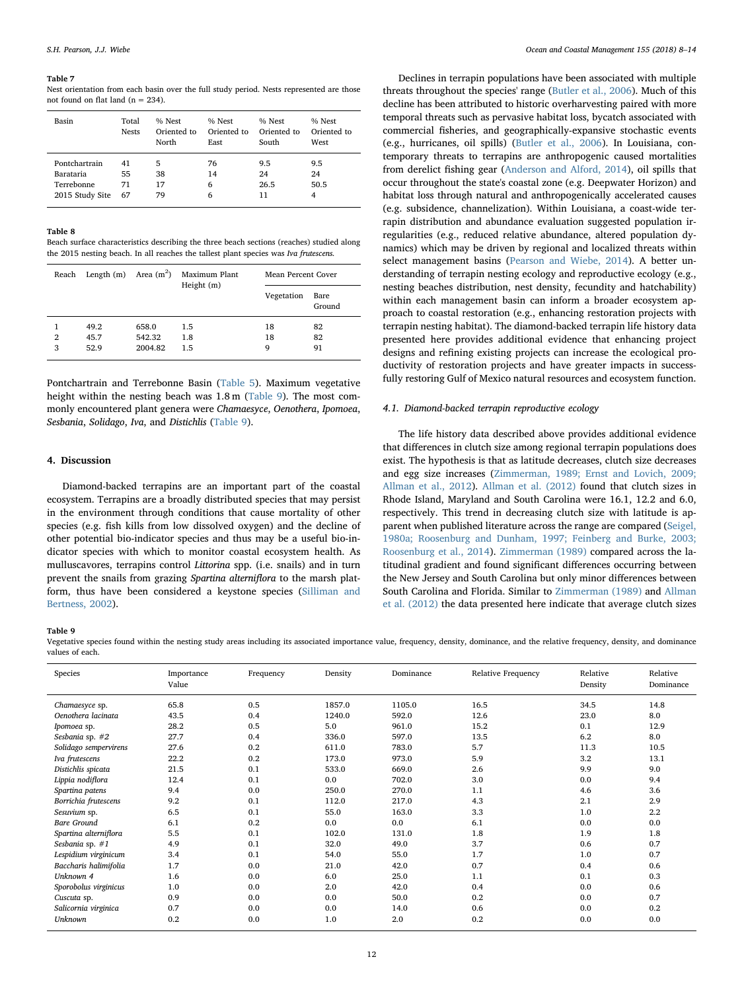#### <span id="page-4-0"></span>Table 7

Nest orientation from each basin over the full study period. Nests represented are those not found on flat land  $(n = 234)$ .

| Basin           | Total<br><b>Nests</b> | % Nest<br>Oriented to<br>North | % Nest<br>Oriented to<br>East | % Nest<br>Oriented to<br>South | % Nest<br>Oriented to<br>West |
|-----------------|-----------------------|--------------------------------|-------------------------------|--------------------------------|-------------------------------|
| Pontchartrain   | 41                    | 5                              | 76                            | 9.5                            | 9.5                           |
| Barataria       | 55                    | 38                             | 14                            | 24                             | 24                            |
| Terrebonne      | 71                    | 17                             | 6                             | 26.5                           | 50.5                          |
| 2015 Study Site | 67                    | 79                             | 6                             | 11                             | 4                             |

### <span id="page-4-1"></span>Table 8

Beach surface characteristics describing the three beach sections (reaches) studied along the 2015 nesting beach. In all reaches the tallest plant species was Iva frutescens.

|                | Reach Length $(m)$ Area $(m^2)$ |         | Maximum Plant<br>Height (m) | Mean Percent Cover |                |
|----------------|---------------------------------|---------|-----------------------------|--------------------|----------------|
|                |                                 |         |                             | Vegetation         | Bare<br>Ground |
|                | 49.2                            | 658.0   | 1.5                         | 18                 | 82             |
| $\overline{2}$ | 45.7                            | 542.32  | 1.8                         | 18                 | 82             |
| 3              | 52.9                            | 2004.82 | 1.5                         | 9                  | 91             |

Pontchartrain and Terrebonne Basin [\(Table 5](#page-3-2)). Maximum vegetative height within the nesting beach was 1.8 m ([Table 9](#page-4-2)). The most commonly encountered plant genera were Chamaesyce, Oenothera, Ipomoea, Sesbania, Solidago, Iva, and Distichlis [\(Table 9\)](#page-4-2).

### 4. Discussion

Diamond-backed terrapins are an important part of the coastal ecosystem. Terrapins are a broadly distributed species that may persist in the environment through conditions that cause mortality of other species (e.g. fish kills from low dissolved oxygen) and the decline of other potential bio-indicator species and thus may be a useful bio-indicator species with which to monitor coastal ecosystem health. As mulluscavores, terrapins control Littorina spp. (i.e. snails) and in turn prevent the snails from grazing Spartina alterniflora to the marsh platform, thus have been considered a keystone species ([Silliman and](#page-6-12) [Bertness, 2002\)](#page-6-12).

Declines in terrapin populations have been associated with multiple threats throughout the species' range [\(Butler et al., 2006\)](#page-6-13). Much of this decline has been attributed to historic overharvesting paired with more temporal threats such as pervasive habitat loss, bycatch associated with commercial fisheries, and geographically-expansive stochastic events (e.g., hurricanes, oil spills) ([Butler et al., 2006](#page-6-13)). In Louisiana, contemporary threats to terrapins are anthropogenic caused mortalities from derelict fishing gear [\(Anderson and Alford, 2014](#page-6-14)), oil spills that occur throughout the state's coastal zone (e.g. Deepwater Horizon) and habitat loss through natural and anthropogenically accelerated causes (e.g. subsidence, channelization). Within Louisiana, a coast-wide terrapin distribution and abundance evaluation suggested population irregularities (e.g., reduced relative abundance, altered population dynamics) which may be driven by regional and localized threats within select management basins [\(Pearson and Wiebe, 2014\)](#page-6-5). A better understanding of terrapin nesting ecology and reproductive ecology (e.g., nesting beaches distribution, nest density, fecundity and hatchability) within each management basin can inform a broader ecosystem approach to coastal restoration (e.g., enhancing restoration projects with terrapin nesting habitat). The diamond-backed terrapin life history data presented here provides additional evidence that enhancing project designs and refining existing projects can increase the ecological productivity of restoration projects and have greater impacts in successfully restoring Gulf of Mexico natural resources and ecosystem function.

### 4.1. Diamond-backed terrapin reproductive ecology

The life history data described above provides additional evidence that differences in clutch size among regional terrapin populations does exist. The hypothesis is that as latitude decreases, clutch size decreases and egg size increases ([Zimmerman, 1989; Ernst and Lovich, 2009;](#page-6-15) [Allman et al., 2012\)](#page-6-15). [Allman et al. \(2012\)](#page-6-16) found that clutch sizes in Rhode Island, Maryland and South Carolina were 16.1, 12.2 and 6.0, respectively. This trend in decreasing clutch size with latitude is apparent when published literature across the range are compared ([Seigel,](#page-6-6) [1980a; Roosenburg and Dunham, 1997; Feinberg and Burke, 2003;](#page-6-6) [Roosenburg et al., 2014](#page-6-6)). [Zimmerman \(1989\)](#page-6-15) compared across the latitudinal gradient and found significant differences occurring between the New Jersey and South Carolina but only minor differences between South Carolina and Florida. Similar to [Zimmerman \(1989\)](#page-6-15) and [Allman](#page-6-16) [et al. \(2012\)](#page-6-16) the data presented here indicate that average clutch sizes

#### <span id="page-4-2"></span>Table 9

Vegetative species found within the nesting study areas including its associated importance value, frequency, density, dominance, and the relative frequency, density, and dominance values of each.

| Species               | Importance<br>Value | Frequency | Density | Dominance | <b>Relative Frequency</b> | Relative<br>Density | Relative<br>Dominance |
|-----------------------|---------------------|-----------|---------|-----------|---------------------------|---------------------|-----------------------|
| Chamaesyce sp.        | 65.8                | 0.5       | 1857.0  | 1105.0    | 16.5                      | 34.5                | 14.8                  |
| Oenothera lacinata    | 43.5                | 0.4       | 1240.0  | 592.0     | 12.6                      | 23.0                | 8.0                   |
| Ipomoea sp.           | 28.2                | 0.5       | 5.0     | 961.0     | 15.2                      | 0.1                 | 12.9                  |
| Sesbania sp. #2       | 27.7                | 0.4       | 336.0   | 597.0     | 13.5                      | 6.2                 | 8.0                   |
| Solidago sempervirens | 27.6                | 0.2       | 611.0   | 783.0     | 5.7                       | 11.3                | 10.5                  |
| Iva frutescens        | 22.2                | 0.2       | 173.0   | 973.0     | 5.9                       | 3.2                 | 13.1                  |
| Distichlis spicata    | 21.5                | 0.1       | 533.0   | 669.0     | 2.6                       | 9.9                 | 9.0                   |
| Lippia nodiflora      | 12.4                | 0.1       | 0.0     | 702.0     | 3.0                       | 0.0                 | 9.4                   |
| Spartina patens       | 9.4                 | 0.0       | 250.0   | 270.0     | 1.1                       | 4.6                 | 3.6                   |
| Borrichia frutescens  | 9.2                 | 0.1       | 112.0   | 217.0     | 4.3                       | 2.1                 | 2.9                   |
| Sesuvium sp.          | 6.5                 | 0.1       | 55.0    | 163.0     | 3.3                       | 1.0                 | 2.2                   |
| <b>Bare Ground</b>    | 6.1                 | 0.2       | 0.0     | 0.0       | 6.1                       | 0.0                 | 0.0                   |
| Spartina alterniflora | 5.5                 | 0.1       | 102.0   | 131.0     | 1.8                       | 1.9                 | 1.8                   |
| Sesbania sp. #1       | 4.9                 | 0.1       | 32.0    | 49.0      | 3.7                       | 0.6                 | 0.7                   |
| Lespidium virginicum  | 3.4                 | 0.1       | 54.0    | 55.0      | 1.7                       | 1.0                 | 0.7                   |
| Baccharis halimifolia | 1.7                 | 0.0       | 21.0    | 42.0      | 0.7                       | 0.4                 | 0.6                   |
| Unknown 4             | 1.6                 | 0.0       | 6.0     | 25.0      | 1.1                       | 0.1                 | 0.3                   |
| Sporobolus virginicus | 1.0                 | 0.0       | 2.0     | 42.0      | 0.4                       | 0.0                 | 0.6                   |
| Cuscuta sp.           | 0.9                 | 0.0       | 0.0     | 50.0      | 0.2                       | 0.0                 | 0.7                   |
| Salicornia virginica  | 0.7                 | 0.0       | 0.0     | 14.0      | 0.6                       | 0.0                 | 0.2                   |
| <b>Unknown</b>        | 0.2                 | 0.0       | 1.0     | 2.0       | 0.2                       | 0.0                 | 0.0                   |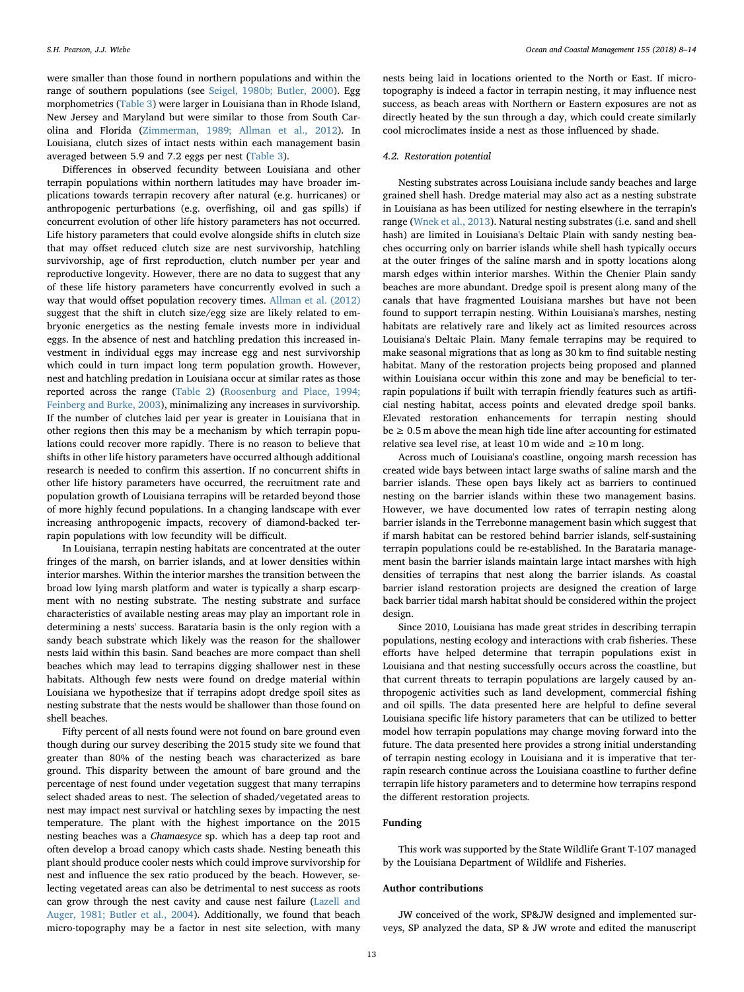were smaller than those found in northern populations and within the range of southern populations (see [Seigel, 1980b; Butler, 2000](#page-6-17)). Egg morphometrics [\(Table 3](#page-3-0)) were larger in Louisiana than in Rhode Island, New Jersey and Maryland but were similar to those from South Carolina and Florida [\(Zimmerman, 1989; Allman et al., 2012](#page-6-15)). In Louisiana, clutch sizes of intact nests within each management basin averaged between 5.9 and 7.2 eggs per nest [\(Table 3\)](#page-3-0).

Differences in observed fecundity between Louisiana and other terrapin populations within northern latitudes may have broader implications towards terrapin recovery after natural (e.g. hurricanes) or anthropogenic perturbations (e.g. overfishing, oil and gas spills) if concurrent evolution of other life history parameters has not occurred. Life history parameters that could evolve alongside shifts in clutch size that may offset reduced clutch size are nest survivorship, hatchling survivorship, age of first reproduction, clutch number per year and reproductive longevity. However, there are no data to suggest that any of these life history parameters have concurrently evolved in such a way that would offset population recovery times. [Allman et al. \(2012\)](#page-6-16) suggest that the shift in clutch size/egg size are likely related to embryonic energetics as the nesting female invests more in individual eggs. In the absence of nest and hatchling predation this increased investment in individual eggs may increase egg and nest survivorship which could in turn impact long term population growth. However, nest and hatchling predation in Louisiana occur at similar rates as those reported across the range ([Table 2](#page-2-0)) ([Roosenburg and Place, 1994;](#page-6-18) [Feinberg and Burke, 2003\)](#page-6-18), minimalizing any increases in survivorship. If the number of clutches laid per year is greater in Louisiana that in other regions then this may be a mechanism by which terrapin populations could recover more rapidly. There is no reason to believe that shifts in other life history parameters have occurred although additional research is needed to confirm this assertion. If no concurrent shifts in other life history parameters have occurred, the recruitment rate and population growth of Louisiana terrapins will be retarded beyond those of more highly fecund populations. In a changing landscape with ever increasing anthropogenic impacts, recovery of diamond-backed terrapin populations with low fecundity will be difficult.

In Louisiana, terrapin nesting habitats are concentrated at the outer fringes of the marsh, on barrier islands, and at lower densities within interior marshes. Within the interior marshes the transition between the broad low lying marsh platform and water is typically a sharp escarpment with no nesting substrate. The nesting substrate and surface characteristics of available nesting areas may play an important role in determining a nests' success. Barataria basin is the only region with a sandy beach substrate which likely was the reason for the shallower nests laid within this basin. Sand beaches are more compact than shell beaches which may lead to terrapins digging shallower nest in these habitats. Although few nests were found on dredge material within Louisiana we hypothesize that if terrapins adopt dredge spoil sites as nesting substrate that the nests would be shallower than those found on shell beaches.

Fifty percent of all nests found were not found on bare ground even though during our survey describing the 2015 study site we found that greater than 80% of the nesting beach was characterized as bare ground. This disparity between the amount of bare ground and the percentage of nest found under vegetation suggest that many terrapins select shaded areas to nest. The selection of shaded/vegetated areas to nest may impact nest survival or hatchling sexes by impacting the nest temperature. The plant with the highest importance on the 2015 nesting beaches was a Chamaesyce sp. which has a deep tap root and often develop a broad canopy which casts shade. Nesting beneath this plant should produce cooler nests which could improve survivorship for nest and influence the sex ratio produced by the beach. However, selecting vegetated areas can also be detrimental to nest success as roots can grow through the nest cavity and cause nest failure [\(Lazell and](#page-6-19) [Auger, 1981; Butler et al., 2004](#page-6-19)). Additionally, we found that beach micro-topography may be a factor in nest site selection, with many

nests being laid in locations oriented to the North or East. If microtopography is indeed a factor in terrapin nesting, it may influence nest success, as beach areas with Northern or Eastern exposures are not as directly heated by the sun through a day, which could create similarly cool microclimates inside a nest as those influenced by shade.

### 4.2. Restoration potential

Nesting substrates across Louisiana include sandy beaches and large grained shell hash. Dredge material may also act as a nesting substrate in Louisiana as has been utilized for nesting elsewhere in the terrapin's range [\(Wnek et al., 2013\)](#page-6-20). Natural nesting substrates (i.e. sand and shell hash) are limited in Louisiana's Deltaic Plain with sandy nesting beaches occurring only on barrier islands while shell hash typically occurs at the outer fringes of the saline marsh and in spotty locations along marsh edges within interior marshes. Within the Chenier Plain sandy beaches are more abundant. Dredge spoil is present along many of the canals that have fragmented Louisiana marshes but have not been found to support terrapin nesting. Within Louisiana's marshes, nesting habitats are relatively rare and likely act as limited resources across Louisiana's Deltaic Plain. Many female terrapins may be required to make seasonal migrations that as long as 30 km to find suitable nesting habitat. Many of the restoration projects being proposed and planned within Louisiana occur within this zone and may be beneficial to terrapin populations if built with terrapin friendly features such as artificial nesting habitat, access points and elevated dredge spoil banks. Elevated restoration enhancements for terrapin nesting should  $be \geq 0.5$  m above the mean high tide line after accounting for estimated relative sea level rise, at least 10 m wide and  $\geq$  10 m long.

Across much of Louisiana's coastline, ongoing marsh recession has created wide bays between intact large swaths of saline marsh and the barrier islands. These open bays likely act as barriers to continued nesting on the barrier islands within these two management basins. However, we have documented low rates of terrapin nesting along barrier islands in the Terrebonne management basin which suggest that if marsh habitat can be restored behind barrier islands, self-sustaining terrapin populations could be re-established. In the Barataria management basin the barrier islands maintain large intact marshes with high densities of terrapins that nest along the barrier islands. As coastal barrier island restoration projects are designed the creation of large back barrier tidal marsh habitat should be considered within the project design.

Since 2010, Louisiana has made great strides in describing terrapin populations, nesting ecology and interactions with crab fisheries. These efforts have helped determine that terrapin populations exist in Louisiana and that nesting successfully occurs across the coastline, but that current threats to terrapin populations are largely caused by anthropogenic activities such as land development, commercial fishing and oil spills. The data presented here are helpful to define several Louisiana specific life history parameters that can be utilized to better model how terrapin populations may change moving forward into the future. The data presented here provides a strong initial understanding of terrapin nesting ecology in Louisiana and it is imperative that terrapin research continue across the Louisiana coastline to further define terrapin life history parameters and to determine how terrapins respond the different restoration projects.

### Funding

This work was supported by the State Wildlife Grant T-107 managed by the Louisiana Department of Wildlife and Fisheries.

### Author contributions

JW conceived of the work, SP&JW designed and implemented surveys, SP analyzed the data, SP & JW wrote and edited the manuscript